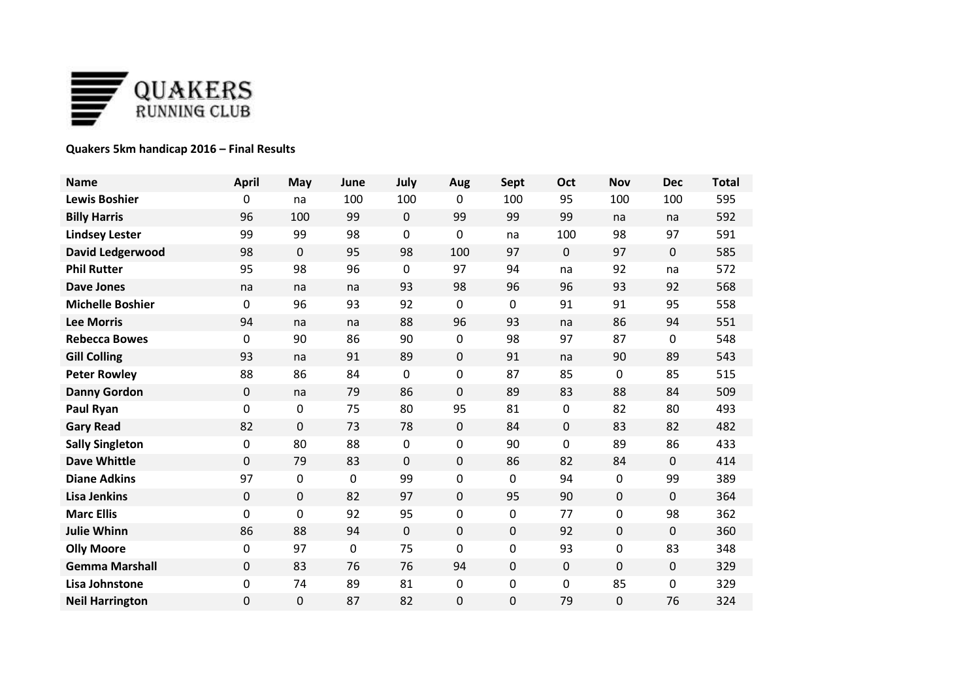

## **Quakers 5km handicap 2016 – Final Results**

| <b>Name</b>             | <b>April</b> | May         | June        | July        | Aug         | <b>Sept</b> | Oct              | Nov | <b>Dec</b> | <b>Total</b> |
|-------------------------|--------------|-------------|-------------|-------------|-------------|-------------|------------------|-----|------------|--------------|
| <b>Lewis Boshier</b>    | 0            | na          | 100         | 100         | 0           | 100         | 95               | 100 | 100        | 595          |
| <b>Billy Harris</b>     | 96           | 100         | 99          | $\mathbf 0$ | 99          | 99          | 99               | na  | na         | 592          |
| <b>Lindsey Lester</b>   | 99           | 99          | 98          | 0           | 0           | na          | 100              | 98  | 97         | 591          |
| <b>David Ledgerwood</b> | 98           | $\mathbf 0$ | 95          | 98          | 100         | 97          | $\mathbf 0$      | 97  | 0          | 585          |
| <b>Phil Rutter</b>      | 95           | 98          | 96          | 0           | 97          | 94          | na               | 92  | na         | 572          |
| <b>Dave Jones</b>       | na           | na          | na          | 93          | 98          | 96          | 96               | 93  | 92         | 568          |
| <b>Michelle Boshier</b> | 0            | 96          | 93          | 92          | 0           | 0           | 91               | 91  | 95         | 558          |
| <b>Lee Morris</b>       | 94           | na          | na          | 88          | 96          | 93          | na               | 86  | 94         | 551          |
| <b>Rebecca Bowes</b>    | 0            | 90          | 86          | 90          | 0           | 98          | 97               | 87  | 0          | 548          |
| <b>Gill Colling</b>     | 93           | na          | 91          | 89          | $\pmb{0}$   | 91          | na               | 90  | 89         | 543          |
| <b>Peter Rowley</b>     | 88           | 86          | 84          | 0           | 0           | 87          | 85               | 0   | 85         | 515          |
| <b>Danny Gordon</b>     | 0            | na          | 79          | 86          | $\mathbf 0$ | 89          | 83               | 88  | 84         | 509          |
| Paul Ryan               | 0            | 0           | 75          | 80          | 95          | 81          | $\boldsymbol{0}$ | 82  | 80         | 493          |
| <b>Gary Read</b>        | 82           | 0           | 73          | 78          | $\mathbf 0$ | 84          | 0                | 83  | 82         | 482          |
| <b>Sally Singleton</b>  | 0            | 80          | 88          | 0           | 0           | 90          | $\mathbf 0$      | 89  | 86         | 433          |
| <b>Dave Whittle</b>     | 0            | 79          | 83          | 0           | $\pmb{0}$   | 86          | 82               | 84  | $\Omega$   | 414          |
| <b>Diane Adkins</b>     | 97           | 0           | $\mathbf 0$ | 99          | 0           | 0           | 94               | 0   | 99         | 389          |
| <b>Lisa Jenkins</b>     | 0            | 0           | 82          | 97          | $\mathbf 0$ | 95          | 90               | 0   | 0          | 364          |
| <b>Marc Ellis</b>       | 0            | 0           | 92          | 95          | 0           | 0           | 77               | 0   | 98         | 362          |
| <b>Julie Whinn</b>      | 86           | 88          | 94          | 0           | $\mathbf 0$ | 0           | 92               | 0   | 0          | 360          |
| <b>Olly Moore</b>       | 0            | 97          | $\mathbf 0$ | 75          | 0           | 0           | 93               | 0   | 83         | 348          |
| <b>Gemma Marshall</b>   | 0            | 83          | 76          | 76          | 94          | 0           | 0                | 0   | 0          | 329          |
| Lisa Johnstone          | 0            | 74          | 89          | 81          | 0           | 0           | $\boldsymbol{0}$ | 85  | 0          | 329          |
| <b>Neil Harrington</b>  | 0            | 0           | 87          | 82          | 0           | 0           | 79               | 0   | 76         | 324          |